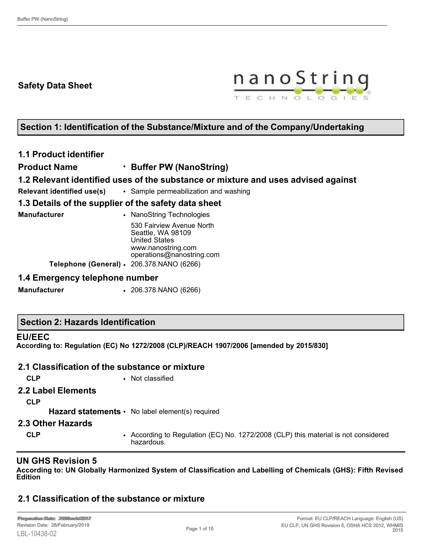## **Safety Data Sheet**



## **Section 1: Identification of the Substance/Mixture and of the Company/Undertaking**

## **1.1 Product identifier**

**Product Name** • **Buffer PW (NanoString)**

## **1.2 Relevant identified uses of the substance or mixture and uses advised against**

**Relevant identified use(s)** • Sample permeabilization and washing

## **1.3 Details of the supplier of the safety data sheet**

| Manufacturer | • NanoString Technologies                                              |
|--------------|------------------------------------------------------------------------|
|              | 530 Fairview Avenue North<br>Seattle, WA 98109<br><b>United States</b> |
|              | www.nanostring.com<br>operations@nanostring.com                        |
|              | Telephone (General) · 206.378.NANO (6266)                              |

### **1.4 Emergency telephone number**

**Manufacturer** • 206.378.NANO (6266)

## **Section 2: Hazards Identification**

### **EU/EEC**

**According to: Regulation (EC) No 1272/2008 (CLP)/REACH 1907/2006 [amended by 2015/830]**

## **2.1 Classification of the substance or mixture**

**CLP** • Not classified

### **2.2 Label Elements**

**CLP**

Hazard statements • No label element(s) required

### **2.3 Other Hazards**

**CLP** • According to Regulation (EC) No. 1272/2008 (CLP) this material is not considered hazardous.

## **UN GHS Revision 5**

**According to: UN Globally Harmonized System of Classification and Labelling of Chemicals (GHS): Fifth Revised Edition**

## **2.1 Classification of the substance or mixture**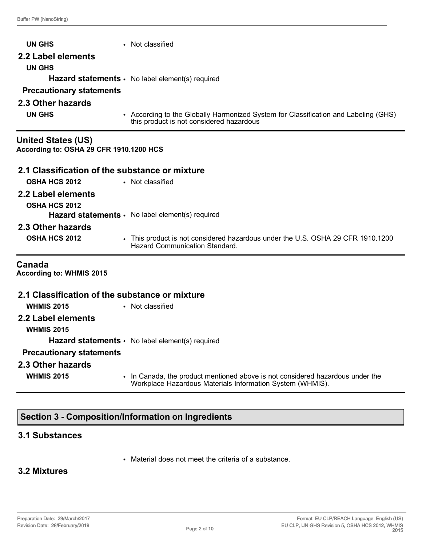| <b>UN GHS</b>                                                        | • Not classified                                                                                                                |
|----------------------------------------------------------------------|---------------------------------------------------------------------------------------------------------------------------------|
| 2.2 Label elements<br><b>UN GHS</b>                                  | Hazard statements · No label element(s) required                                                                                |
| <b>Precautionary statements</b>                                      |                                                                                                                                 |
| 2.3 Other hazards                                                    |                                                                                                                                 |
| <b>UN GHS</b>                                                        | • According to the Globally Harmonized System for Classification and Labeling (GHS)<br>this product is not considered hazardous |
| <b>United States (US)</b><br>According to: OSHA 29 CFR 1910.1200 HCS |                                                                                                                                 |
| 2.1 Classification of the substance or mixture                       |                                                                                                                                 |
| <b>OSHA HCS 2012</b>                                                 | • Not classified                                                                                                                |
| 2.2 Label elements<br><b>OSHA HCS 2012</b>                           |                                                                                                                                 |
|                                                                      | Hazard statements · No label element(s) required                                                                                |
| 2.3 Other hazards<br>OSHA HCS 2012                                   | • This product is not considered hazardous under the U.S. OSHA 29 CFR 1910.1200<br><b>Hazard Communication Standard.</b>        |
| Canada<br><b>According to: WHMIS 2015</b>                            |                                                                                                                                 |
| 2.1 Classification of the substance or mixture                       |                                                                                                                                 |
| <b>WHMIS 2015</b>                                                    | • Not classified                                                                                                                |
| 2.2 Label elements<br><b>WHMIS 2015</b>                              |                                                                                                                                 |

**Hazard statements** • No label element(s) required

## **Precautionary statements**

### **2.3 Other hazards**

- 
- **WHMIS 2015** In Canada, the product mentioned above is not considered hazardous under the Workplace Hazardous Materials Information System (WHMIS).

## **Section 3 - Composition/Information on Ingredients**

### **3.1 Substances**

• Material does not meet the criteria of a substance.

## **3.2 Mixtures**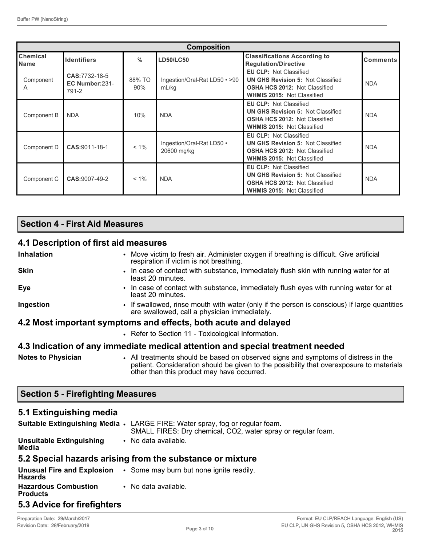| <b>Composition</b>             |                                           |               |                                          |                                                                                                                                                        |                 |
|--------------------------------|-------------------------------------------|---------------|------------------------------------------|--------------------------------------------------------------------------------------------------------------------------------------------------------|-----------------|
| <b>Chemical</b><br><b>Name</b> | <b>Identifiers</b>                        | $\%$          | <b>LD50/LC50</b>                         | <b>Classifications According to</b><br><b>Regulation/Directive</b>                                                                                     | <b>Comments</b> |
| Component<br>A                 | CAS: 7732-18-5<br>EC Number:231-<br>791-2 | 88% TO<br>90% | Ingestion/Oral-Rat LD50 • >90<br>mL/kg   | <b>EU CLP: Not Classified</b><br><b>UN GHS Revision 5: Not Classified</b><br><b>OSHA HCS 2012: Not Classified</b><br><b>WHMIS 2015: Not Classified</b> | <b>NDA</b>      |
| Component B                    | <b>NDA</b>                                | 10%           | <b>NDA</b>                               | <b>EU CLP: Not Classified</b><br><b>UN GHS Revision 5: Not Classified</b><br><b>OSHA HCS 2012: Not Classified</b><br><b>WHMIS 2015: Not Classified</b> | <b>NDA</b>      |
| Component D                    | CAS: 9011-18-1                            | $< 1\%$       | Ingestion/Oral-Rat LD50 .<br>20600 mg/kg | <b>EU CLP: Not Classified</b><br><b>UN GHS Revision 5: Not Classified</b><br><b>OSHA HCS 2012: Not Classified</b><br><b>WHMIS 2015: Not Classified</b> | <b>NDA</b>      |
| Component C                    | CAS:9007-49-2                             | $< 1\%$       | <b>NDA</b>                               | <b>EU CLP: Not Classified</b><br><b>UN GHS Revision 5: Not Classified</b><br><b>OSHA HCS 2012: Not Classified</b><br><b>WHMIS 2015: Not Classified</b> | <b>NDA</b>      |

## **Section 4 - First Aid Measures**

## **4.1 Description of first aid measures**

| <b>Inhalation</b>         | • Move victim to fresh air. Administer oxygen if breathing is difficult. Give artificial<br>respiration if victim is not breathing.                                            |
|---------------------------|--------------------------------------------------------------------------------------------------------------------------------------------------------------------------------|
| <b>Skin</b>               | • In case of contact with substance, immediately flush skin with running water for at<br>least 20 minutes.                                                                     |
| Eye                       | • In case of contact with substance, immediately flush eyes with running water for at<br>least 20 minutes.                                                                     |
| Ingestion                 | • If swallowed, rinse mouth with water (only if the person is conscious) If large quantities<br>are swallowed, call a physician immediately.                                   |
|                           | 4.2 Most important symptoms and effects, both acute and delayed                                                                                                                |
|                           | • Refer to Section 11 - Toxicological Information.                                                                                                                             |
|                           | 4.3 Indication of any immediate medical attention and special treatment needed                                                                                                 |
| <b>Notes to Physician</b> | • All treatments should be based on observed signs and symptoms of distress in the<br>patient. Consideration should be given to the possibility that overexposure to materials |

other than this product may have occurred.

### **Section 5 - Firefighting Measures**

### **5.1 Extinguishing media**

|                                                | Suitable Extinguishing Media • LARGE FIRE: Water spray, fog or regular foam.<br>SMALL FIRES: Dry chemical, CO2, water spray or regular foam. |
|------------------------------------------------|----------------------------------------------------------------------------------------------------------------------------------------------|
| <b>Unsuitable Extinguishing</b><br>Media       | • No data available.                                                                                                                         |
|                                                | 5.2 Special hazards arising from the substance or mixture                                                                                    |
| <b>Hazards</b>                                 | <b>Unusual Fire and Explosion</b> $\cdot$ Some may burn but none ignite readily.                                                             |
| <b>Hazardous Combustion</b><br><b>Products</b> | • No data available.                                                                                                                         |

## **5.3 Advice for firefighters**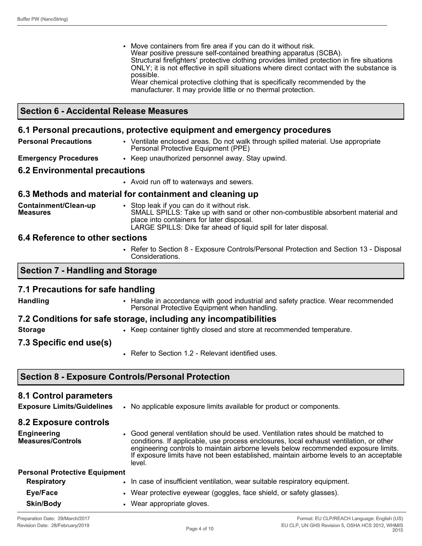• Move containers from fire area if you can do it without risk. Wear positive pressure self-contained breathing apparatus (SCBA). Structural firefighters' protective clothing provides limited protection in fire situations ONLY; it is not effective in spill situations where direct contact with the substance is possible. Wear chemical protective clothing that is specifically recommended by the manufacturer. It may provide little or no thermal protection.

### **Section 6 - Accidental Release Measures**

#### **6.1 Personal precautions, protective equipment and emergency procedures**

**Personal Precautions** • Ventilate enclosed areas. Do not walk through spilled material. Use appropriate Personal Protective Equipment (PPE)

**Emergency Procedures** • Keep unauthorized personnel away. Stay upwind.

#### **6.2 Environmental precautions**

• Avoid run off to waterways and sewers.

### **6.3 Methods and material for containment and cleaning up**

**Containment/Clean-up Measures** • Stop leak if you can do it without risk. SMALL SPILLS: Take up with sand or other non-combustible absorbent material and place into containers for later disposal. LARGE SPILLS: Dike far ahead of liquid spill for later disposal.

#### **6.4 Reference to other sections**

• Refer to Section 8 - Exposure Controls/Personal Protection and Section 13 - Disposal Considerations.

### **Section 7 - Handling and Storage**

### **7.1 Precautions for safe handling**

**Handling** • Handle in accordance with good industrial and safety practice. Wear recommended Personal Protective Equipment when handling.

### **7.2 Conditions for safe storage, including any incompatibilities**

- 
- **Storage Keep container tightly closed and store at recommended temperature.**
- **7.3 Specific end use(s)**
- Refer to Section 1.2 Relevant identified uses.

### **Section 8 - Exposure Controls/Personal Protection**

#### **8.1 Control parameters**

**Exposure Limits/Guidelines** • No applicable exposure limits available for product or components.

#### **8.2 Exposure controls**

**Engineering Measures/Controls** • Good general ventilation should be used. Ventilation rates should be matched to conditions. If applicable, use process enclosures, local exhaust ventilation, or other engineering controls to maintain airborne levels below recommended exposure limits. If exposure limits have not been established, maintain airborne levels to an acceptable level.

| <b>Personal Protective Equipment</b> |                                                                           |
|--------------------------------------|---------------------------------------------------------------------------|
| <b>Respiratory</b>                   | In case of insufficient ventilation, wear suitable respiratory equipment. |
| Eye/Face                             | • Wear protective eyewear (goggles, face shield, or safety glasses).      |
| <b>Skin/Body</b>                     | Wear appropriate gloves.                                                  |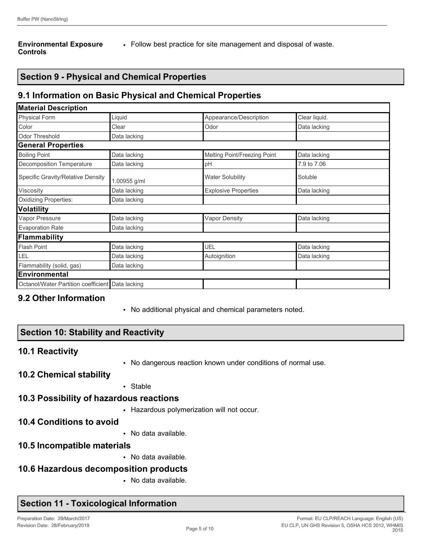#### **Environmental Exposure Controls**

• Follow best practice for site management and disposal of waste.

## **Section 9 - Physical and Chemical Properties**

## **9.1 Information on Basic Physical and Chemical Properties**

| <b>Material Description</b>         |              |                              |               |
|-------------------------------------|--------------|------------------------------|---------------|
| <b>Physical Form</b>                | Liquid       | Appearance/Description       | Clear liquid. |
| Color                               | Clear        | Odor                         | Data lacking  |
| <b>Odor Threshold</b>               | Data lacking |                              |               |
| <b>General Properties</b>           |              |                              |               |
| <b>Boiling Point</b>                | Data lacking | Melting Point/Freezing Point | Data lacking  |
| Decomposition Temperature           | Data lacking | pH                           | 7.9 to 7.06   |
| Specific Gravity/Relative Density   | 1.00955 g/ml | <b>Water Solubility</b>      | Soluble       |
| Viscosity                           | Data lacking | <b>Explosive Properties</b>  | Data lacking  |
| <b>Oxidizing Properties:</b>        | Data lacking |                              |               |
| <b>Volatility</b>                   |              |                              |               |
| Vapor Pressure                      | Data lacking | <b>Vapor Density</b>         | Data lacking  |
| <b>Evaporation Rate</b>             | Data lacking |                              |               |
| <b>Flammability</b>                 |              |                              |               |
| <b>Flash Point</b>                  | Data lacking | UEL                          | Data lacking  |
| LEL                                 | Data lacking | Autoignition                 | Data lacking  |
| Flammability (solid, gas)           | Data lacking |                              |               |
| <b>Environmental</b>                |              |                              |               |
| Octanol/Water Partition coefficient | Data lacking |                              |               |

### **9.2 Other Information**

• No additional physical and chemical parameters noted.

## **Section 10: Stability and Reactivity**

### **10.1 Reactivity**

• No dangerous reaction known under conditions of normal use.

### **10.2 Chemical stability**

• Stable

### **10.3 Possibility of hazardous reactions**

- Hazardous polymerization will not occur.
- **10.4 Conditions to avoid**
- No data available.
- **10.5 Incompatible materials**
	- No data available.

### **10.6 Hazardous decomposition products**

• No data available.

## **Section 11 - Toxicological Information**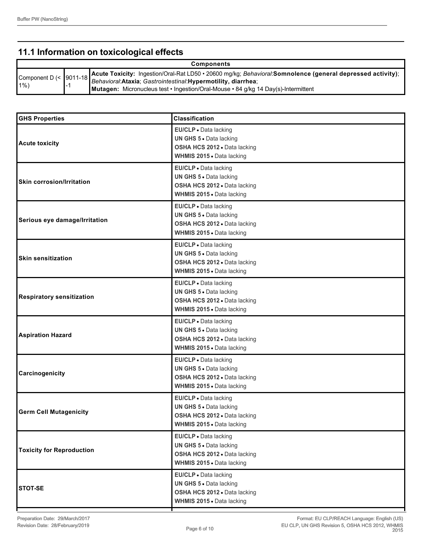## **11.1 Information on toxicological effects**

| <b>Components</b> |  |                                                                                                                                                                                                                                                                                                                        |  |
|-------------------|--|------------------------------------------------------------------------------------------------------------------------------------------------------------------------------------------------------------------------------------------------------------------------------------------------------------------------|--|
| $1\%$             |  | <sup>1</sup> Component D (< 19011-18 Acute Toxicity: Ingestion/Oral-Rat LD50 • 20600 mg/kg; <i>Behavioral</i> :Somnolence (general depressed activity);<br>Behavioral: Ataxia; Gastrointestinal: Hypermotility, diarrhea;<br><b>Mutagen:</b> Micronucleus test • Ingestion/Oral-Mouse • 84 g/kg 14 Day(s)-Intermittent |  |

| <b>GHS Properties</b>            | <b>Classification</b>                                                                                                |
|----------------------------------|----------------------------------------------------------------------------------------------------------------------|
| <b>Acute toxicity</b>            | EU/CLP · Data lacking<br>UN GHS 5 . Data lacking<br>OSHA HCS 2012 . Data lacking<br>WHMIS 2015 . Data lacking        |
| <b>Skin corrosion/Irritation</b> | EU/CLP · Data lacking<br>UN GHS 5 . Data lacking<br>OSHA HCS 2012 . Data lacking<br>WHMIS 2015 . Data lacking        |
| Serious eye damage/Irritation    | EU/CLP · Data lacking<br>UN GHS 5 . Data lacking<br>OSHA HCS 2012 . Data lacking<br>WHMIS 2015 . Data lacking        |
| <b>Skin sensitization</b>        | EU/CLP · Data lacking<br>UN GHS 5 . Data lacking<br>OSHA HCS 2012 . Data lacking<br>WHMIS 2015 . Data lacking        |
| <b>Respiratory sensitization</b> | EU/CLP · Data lacking<br>UN GHS 5 . Data lacking<br>OSHA HCS 2012 · Data lacking<br>WHMIS 2015 . Data lacking        |
| <b>Aspiration Hazard</b>         | EU/CLP · Data lacking<br>UN GHS 5 . Data lacking<br>OSHA HCS 2012 . Data lacking<br>WHMIS 2015 . Data lacking        |
| Carcinogenicity                  | EU/CLP · Data lacking<br>UN GHS 5 . Data lacking<br>OSHA HCS 2012 · Data lacking<br>WHMIS 2015 . Data lacking        |
| <b>Germ Cell Mutagenicity</b>    | EU/CLP · Data lacking<br>UN GHS 5 . Data lacking<br>OSHA HCS 2012 · Data lacking<br><b>WHMIS 2015 •</b> Data lacking |
| <b>Toxicity for Reproduction</b> | EU/CLP . Data lacking<br>UN GHS 5 . Data lacking<br>OSHA HCS 2012 . Data lacking<br>WHMIS 2015 . Data lacking        |
| <b>STOT-SE</b>                   | EU/CLP · Data lacking<br>UN GHS 5 · Data lacking<br>OSHA HCS 2012 . Data lacking<br>WHMIS 2015 . Data lacking        |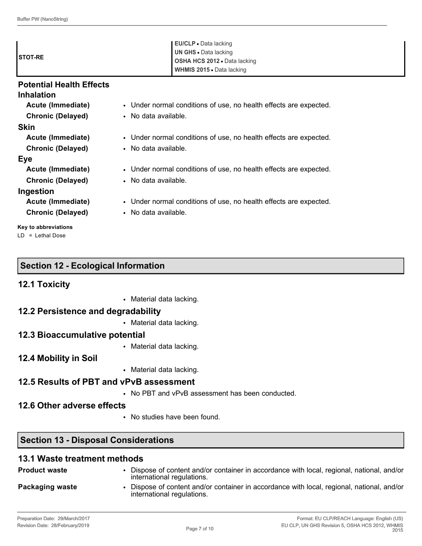| <b>ISTOT-RE</b>                             | EU/CLP • Data lacking<br><b>UN GHS · Data lacking</b><br>OSHA HCS 2012 . Data lacking<br>WHMIS 2015 . Data lacking |
|---------------------------------------------|--------------------------------------------------------------------------------------------------------------------|
| <b>Potential Health Effects</b>             |                                                                                                                    |
| <b>Inhalation</b>                           |                                                                                                                    |
| Acute (Immediate)                           | • Under normal conditions of use, no health effects are expected.                                                  |
| <b>Chronic (Delayed)</b>                    | • No data available.                                                                                               |
| <b>Skin</b>                                 |                                                                                                                    |
| Acute (Immediate)                           | • Under normal conditions of use, no health effects are expected.                                                  |
| <b>Chronic (Delayed)</b>                    | • No data available.                                                                                               |
| <b>Eye</b>                                  |                                                                                                                    |
| Acute (Immediate)                           | • Under normal conditions of use, no health effects are expected.                                                  |
| <b>Chronic (Delayed)</b>                    | • No data available.                                                                                               |
| Ingestion                                   |                                                                                                                    |
| Acute (Immediate)                           | • Under normal conditions of use, no health effects are expected.                                                  |
| <b>Chronic (Delayed)</b>                    | • No data available.                                                                                               |
| Key to abbreviations<br>$LD = Lethal Doese$ |                                                                                                                    |

| <b>12.1 Toxicity</b>               |                          |  |
|------------------------------------|--------------------------|--|
|                                    | • Material data lacking. |  |
| 12.2 Persistence and degradability |                          |  |
|                                    | • Material data lacking. |  |
| 12.3 Bioaccumulative potential     |                          |  |

### **12.3 Bioaccumulative potential**

**Section 12 - Ecological Information**

• Material data lacking.

## **12.4 Mobility in Soil**

• Material data lacking.

### **12.5 Results of PBT and vPvB assessment**

• No PBT and vPvB assessment has been conducted.

## **12.6 Other adverse effects**

• No studies have been found.

## **Section 13 - Disposal Considerations**

## **13.1 Waste treatment methods**

| <b>Product waste</b> | Dispose of content and/or container in accordance with local, regional, national, and/or<br>international regulations. |
|----------------------|------------------------------------------------------------------------------------------------------------------------|
| Packaging waste      | Dispose of content and/or container in accordance with local, regional, national, and/or<br>international regulations. |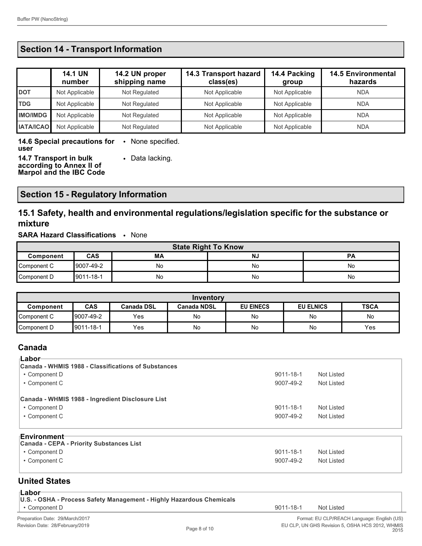## **Section 14 - Transport Information**

|                  | <b>14.1 UN</b><br>number | 14.2 UN proper<br>shipping name | 14.3 Transport hazard<br>class(es) | 14.4 Packing<br>group | <b>14.5 Environmental</b><br>hazards |
|------------------|--------------------------|---------------------------------|------------------------------------|-----------------------|--------------------------------------|
| <b>DOT</b>       | Not Applicable           | Not Regulated                   | Not Applicable                     | Not Applicable        | <b>NDA</b>                           |
| <b>TDG</b>       | Not Applicable           | Not Regulated                   | Not Applicable                     | Not Applicable        | <b>NDA</b>                           |
| <b>IMO/IMDG</b>  | Not Applicable           | Not Regulated                   | Not Applicable                     | Not Applicable        | <b>NDA</b>                           |
| <b>IATA/ICAO</b> | Not Applicable           | Not Regulated                   | Not Applicable                     | Not Applicable        | <b>NDA</b>                           |

**14.6 Special precautions for**  • None specified. **user 14.7 Transport in bulk**  • Data lacking.

**according to Annex II of Marpol and the IBC Code**

### **Section 15 - Regulatory Information**

## **15.1 Safety, health and environmental regulations/legislation specific for the substance or mixture**

#### **SARA Hazard Classifications** • None

| <b>State Right To Know</b> |            |    |           |           |
|----------------------------|------------|----|-----------|-----------|
| Component                  | <b>CAS</b> | МA | <b>NJ</b> | <b>PA</b> |
| Component C                | 9007-49-2  | No | No        | No        |
| Component D                | 9011-18-1  | No | No        | No        |

| Inventory    |                                                                                                              |     |           |    |    |     |
|--------------|--------------------------------------------------------------------------------------------------------------|-----|-----------|----|----|-----|
| Component    | <b>CAS</b><br><b>EU EINECS</b><br><b>TSCA</b><br><b>EU ELNICS</b><br><b>Canada DSL</b><br><b>Canada NDSL</b> |     |           |    |    |     |
| Component C  | 9007-49-2                                                                                                    | Yes | <b>No</b> | No | No | No  |
| ∥Component D | 9011-18-1                                                                                                    | Yes | No        | No | No | Yes |

#### **Canada**

| <sub>⊺</sub> Labor                                  |           |            |  |
|-----------------------------------------------------|-----------|------------|--|
| Canada - WHMIS 1988 - Classifications of Substances |           |            |  |
| • Component D                                       | 9011-18-1 | Not Listed |  |
| • Component C                                       | 9007-49-2 | Not Listed |  |
|                                                     |           |            |  |
| Canada - WHMIS 1988 - Ingredient Disclosure List    |           |            |  |
| • Component D                                       | 9011-18-1 | Not Listed |  |
| • Component C                                       | 9007-49-2 | Not Listed |  |
|                                                     |           |            |  |
| <b>Environment</b>                                  |           |            |  |
| Canada - CEPA - Priority Substances List            |           |            |  |
| • Component D                                       | 9011-18-1 | Not Listed |  |
| • Component C                                       | 9007-49-2 | Not Listed |  |

### **United States**

| . .<br>and the state<br>w | ۰.<br>۰. |
|---------------------------|----------|
|---------------------------|----------|

| Lunvi                                                                |           |                                            |
|----------------------------------------------------------------------|-----------|--------------------------------------------|
| U.S. - OSHA - Process Safety Management - Highly Hazardous Chemicals |           |                                            |
| ∣ • Component D                                                      | 9011-18-1 | Not Listed                                 |
| Preparation Date: 29/March/2017                                      |           | Format: EU CLP/REACH Language: English (US |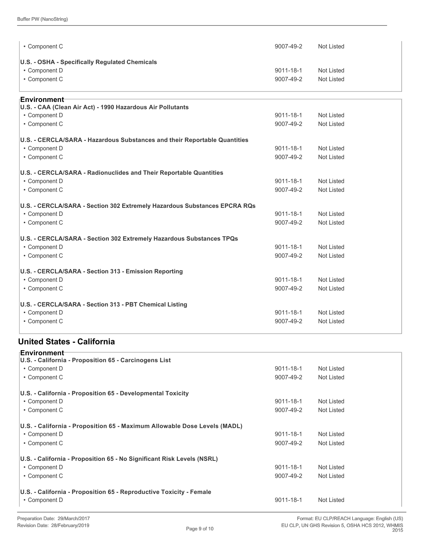| • Component C                                                             | 9007-49-2       | <b>Not Listed</b> |
|---------------------------------------------------------------------------|-----------------|-------------------|
| U.S. - OSHA - Specifically Regulated Chemicals                            |                 |                   |
| • Component D                                                             | $9011 - 18 - 1$ | <b>Not Listed</b> |
| • Component C                                                             | 9007-49-2       | <b>Not Listed</b> |
| <b>⊧Environment</b>                                                       |                 |                   |
| U.S. - CAA (Clean Air Act) - 1990 Hazardous Air Pollutants                |                 |                   |
| • Component D                                                             | 9011-18-1       | Not Listed        |
| • Component C                                                             | 9007-49-2       | <b>Not Listed</b> |
| U.S. - CERCLA/SARA - Hazardous Substances and their Reportable Quantities |                 |                   |
| • Component D                                                             | 9011-18-1       | Not Listed        |
| • Component C                                                             | 9007-49-2       | <b>Not Listed</b> |
| U.S. - CERCLA/SARA - Radionuclides and Their Reportable Quantities        |                 |                   |
| • Component D                                                             | 9011-18-1       | Not Listed        |
| • Component C                                                             | 9007-49-2       | Not Listed        |
| U.S. - CERCLA/SARA - Section 302 Extremely Hazardous Substances EPCRA RQs |                 |                   |
| • Component D                                                             | 9011-18-1       | <b>Not Listed</b> |
| • Component C                                                             | 9007-49-2       | <b>Not Listed</b> |
| U.S. - CERCLA/SARA - Section 302 Extremely Hazardous Substances TPQs      |                 |                   |
| • Component D                                                             | 9011-18-1       | <b>Not Listed</b> |
| • Component C                                                             | 9007-49-2       | Not Listed        |
| U.S. - CERCLA/SARA - Section 313 - Emission Reporting                     |                 |                   |
| • Component D                                                             | 9011-18-1       | <b>Not Listed</b> |
| • Component C                                                             | 9007-49-2       | Not Listed        |
| U.S. - CERCLA/SARA - Section 313 - PBT Chemical Listing                   |                 |                   |
| • Component D                                                             | 9011-18-1       | <b>Not Listed</b> |
| • Component C                                                             | 9007-49-2       | <b>Not Listed</b> |
|                                                                           |                 |                   |

### **United States - California**

| <b>Environment</b> ⊤<br>U.S. - California - Proposition 65 - Carcinogens List |           |            |  |
|-------------------------------------------------------------------------------|-----------|------------|--|
| • Component D                                                                 | 9011-18-1 | Not Listed |  |
| • Component C                                                                 | 9007-49-2 | Not Listed |  |
| U.S. - California - Proposition 65 - Developmental Toxicity                   |           |            |  |
| • Component D                                                                 | 9011-18-1 | Not Listed |  |
| • Component C                                                                 | 9007-49-2 | Not Listed |  |
| U.S. - California - Proposition 65 - Maximum Allowable Dose Levels (MADL)     |           |            |  |
| • Component D                                                                 | 9011-18-1 | Not Listed |  |
| • Component C                                                                 | 9007-49-2 | Not Listed |  |
| U.S. - California - Proposition 65 - No Significant Risk Levels (NSRL)        |           |            |  |
| • Component D                                                                 | 9011-18-1 | Not Listed |  |
| • Component C                                                                 | 9007-49-2 | Not Listed |  |
| U.S. - California - Proposition 65 - Reproductive Toxicity - Female           |           |            |  |
| • Component D                                                                 | 9011-18-1 | Not Listed |  |
|                                                                               |           |            |  |